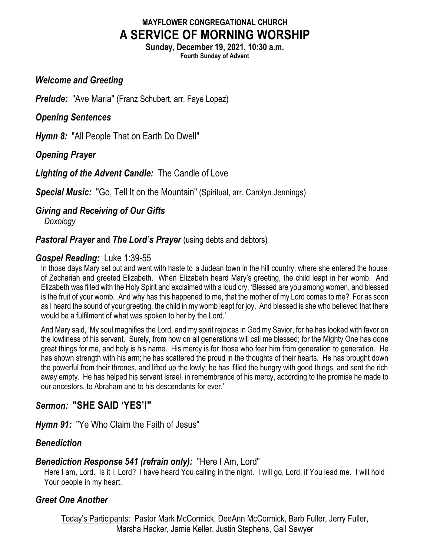# **MAYFLOWER CONGREGATIONAL CHURCH A SERVICE OF MORNING WORSHIP**

**Sunday, December 19, 2021, 10:30 a.m. Fourth Sunday of Advent**

#### *Welcome and Greeting*

*Prelude:* "Ave Maria" (Franz Schubert, arr. Faye Lopez)

#### *Opening Sentences*

*Hymn 8:* "All People That on Earth Do Dwell"

*Opening Prayer*

*Lighting of the Advent Candle:* The Candle of Love

*Special Music:* "Go, Tell It on the Mountain" (Spiritual, arr. Carolyn Jennings)

### *Giving and Receiving of Our Gifts*

*Doxology*

### *Pastoral Prayer and The Lord's Prayer* (using debts and debtors)

### *Gospel Reading:* Luke 1:39-55

In those days Mary set out and went with haste to a Judean town in the hill country, where she entered the house of Zechariah and greeted Elizabeth. When Elizabeth heard Mary's greeting, the child leapt in her womb. And Elizabeth was filled with the Holy Spirit and exclaimed with a loud cry, 'Blessed are you among women, and blessed is the fruit of your womb. And why has this happened to me, that the mother of my Lord comes to me? For as soon as I heard the sound of your greeting, the child in my womb leapt for joy. And blessed is she who believed that there would be a fulfilment of what was spoken to her by the Lord.'

And Mary said, 'My soul magnifies the Lord, and my spirit rejoices in God my Savior, for he has looked with favor on the lowliness of his servant. Surely, from now on all generations will call me blessed; for the Mighty One has done great things for me, and holy is his name. His mercy is for those who fear him from generation to generation. He has shown strength with his arm; he has scattered the proud in the thoughts of their hearts. He has brought down the powerful from their thrones, and lifted up the lowly; he has filled the hungry with good things, and sent the rich away empty. He has helped his servant Israel, in remembrance of his mercy, according to the promise he made to our ancestors, to Abraham and to his descendants for ever.'

# *Sermon:* **"SHE SAID 'YES'!"**

*Hymn 91:* "Ye Who Claim the Faith of Jesus"

# *Benediction*

#### *Benediction Response 541 (refrain only):* "Here I Am, Lord"

Here I am, Lord. Is it I, Lord? I have heard You calling in the night. I will go, Lord, if You lead me. I will hold Your people in my heart.

# *Greet One Another*

Today's Participants: Pastor Mark McCormick, DeeAnn McCormick, Barb Fuller, Jerry Fuller, Marsha Hacker, Jamie Keller, Justin Stephens, Gail Sawyer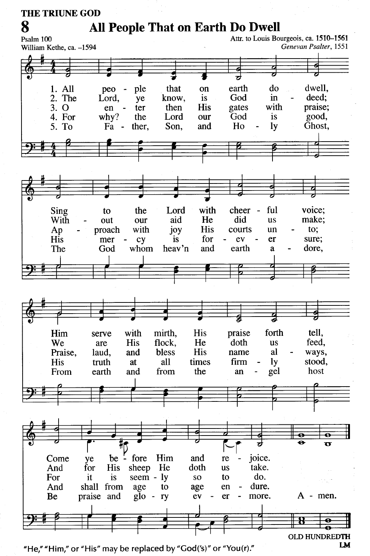**THE TRIUNE GOD** 

# **All People That on Earth Do Dwell**

8 Attr. to Louis Bourgeois, ca. 1510-1561 Psalm 100 Genevan Psalter, 1551 William Kethe, ca. -1594 1. All ple that on earth do dwell. peo 2. The God deed: Lord, know, is in ye with praise:  $3.0$ then **His** gates ter en good, 4. For  $whv?$ the Lord our God is Ho Ghost. 5. To  $Fa$ ther, Son. and  $1v$ with ful voice: Sing the Lord cheer to aid He did make; With out our **us** with joy **His** courts to; proach un Ap His mer cy *is* for ev er sure; God heav'n dore. The whom and earth a tell. Him with mirth, **His** praise forth serve doth feed. We His flock, He **us** are Praise, bless **His** name al ways, laud. and His all times firm **ly** stood, truth at from host From earth and the an gel Ā  $\overline{\mathbf{u}}$ joice. be  $-$  fore Him Come ve and re for **His** sheep He doth take. And **us** do. For it is seem  $-1y$ to <sub>SO</sub> shall from dure. And age to age en more.  $A - men$ . Be praise and  $g$ lo ev er ry e ō OLD HUNDREDTH

"He," "Him," or "His" may be replaced by "God('s)" or "You(r)."

LM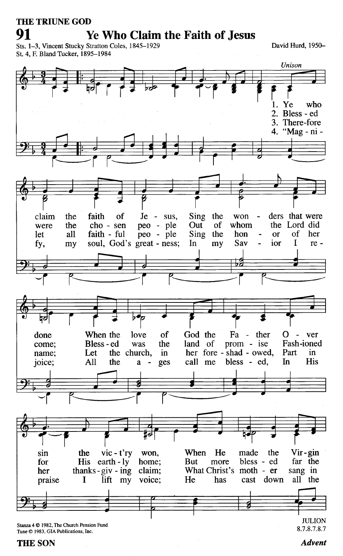#### **THE TRIUNE GOD**

91

#### **Ye Who Claim the Faith of Jesus**

Sts. 1-3, Vincent Stucky Stratton Coles, 1845-1929 St. 4, F. Bland Tucker, 1895-1984

David Hurd, 1950-



Tune © 1983, GIA Publications, Inc.

#### **THE SON**

8.7.8.7.8.7